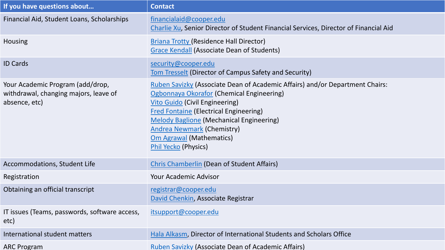| If you have questions about                                                                | <b>Contact</b>                                                                                                                                                                                                                                                                                                                                                                |
|--------------------------------------------------------------------------------------------|-------------------------------------------------------------------------------------------------------------------------------------------------------------------------------------------------------------------------------------------------------------------------------------------------------------------------------------------------------------------------------|
| Financial Aid, Student Loans, Scholarships                                                 | financialaid@cooper.edu<br>Charlie Xu, Senior Director of Student Financial Services, Director of Financial Aid                                                                                                                                                                                                                                                               |
| Housing                                                                                    | <b>Briana Trotty (Residence Hall Director)</b><br>Grace Kendall (Associate Dean of Students)                                                                                                                                                                                                                                                                                  |
| <b>ID Cards</b>                                                                            | security@cooper.edu<br><u>Tom Tresselt</u> (Director of Campus Safety and Security)                                                                                                                                                                                                                                                                                           |
| Your Academic Program (add/drop,<br>withdrawal, changing majors, leave of<br>absence, etc) | Ruben Savizky (Associate Dean of Academic Affairs) and/or Department Chairs:<br>Ogbonnaya Okorafor (Chemical Engineering)<br><b>Vito Guido (Civil Engineering)</b><br><b>Fred Fontaine (Electrical Engineering)</b><br><b>Melody Baglione (Mechanical Engineering)</b><br><b>Andrea Newmark (Chemistry)</b><br><b>Om Agrawal (Mathematics)</b><br><b>Phil Yecko (Physics)</b> |
| Accommodations, Student Life                                                               | <b>Chris Chamberlin (Dean of Student Affairs)</b>                                                                                                                                                                                                                                                                                                                             |
| Registration                                                                               | <b>Your Academic Advisor</b>                                                                                                                                                                                                                                                                                                                                                  |
| Obtaining an official transcript                                                           | registrar@cooper.edu<br>David Chenkin, Associate Registrar                                                                                                                                                                                                                                                                                                                    |
| IT issues (Teams, passwords, software access,<br>etc)                                      | itsupport@cooper.edu                                                                                                                                                                                                                                                                                                                                                          |
| International student matters                                                              | Hala Alkasm, Director of International Students and Scholars Office                                                                                                                                                                                                                                                                                                           |
| <b>ARC Program</b>                                                                         | <b>Ruben Savizky (Associate Dean of Academic Affairs)</b>                                                                                                                                                                                                                                                                                                                     |